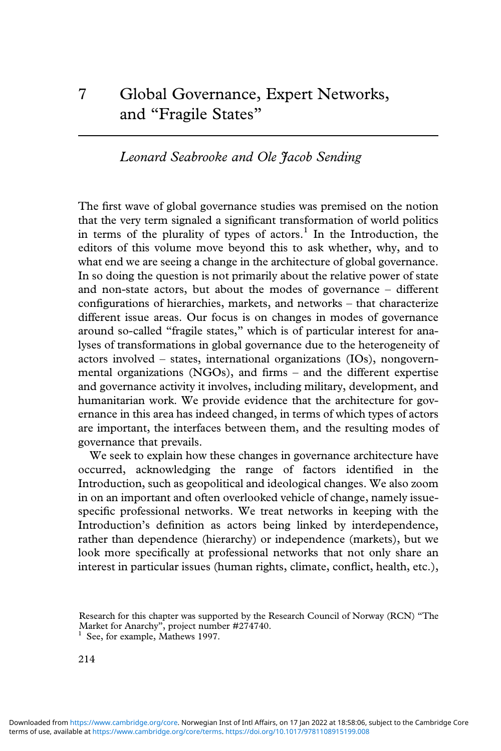# *Leonard Seabrooke and Ole Jacob Sending*

The first wave of global governance studies was premised on the notion that the very term signaled a significant transformation of world politics in terms of the plurality of types of actors.<sup>1</sup> In the Introduction, the editors of this volume move beyond this to ask whether, why, and to what end we are seeing a change in the architecture of global governance. In so doing the question is not primarily about the relative power of state and non-state actors, but about the modes of governance – different configurations of hierarchies, markets, and networks – that characterize different issue areas. Our focus is on changes in modes of governance around so-called "fragile states," which is of particular interest for analyses of transformations in global governance due to the heterogeneity of actors involved – states, international organizations (IOs), nongovernmental organizations (NGOs), and firms – and the different expertise and governance activity it involves, including military, development, and humanitarian work. We provide evidence that the architecture for governance in this area has indeed changed, in terms of which types of actors are important, the interfaces between them, and the resulting modes of governance that prevails.

We seek to explain how these changes in governance architecture have occurred, acknowledging the range of factors identified in the Introduction, such as geopolitical and ideological changes. We also zoom in on an important and often overlooked vehicle of change, namely issuespecific professional networks. We treat networks in keeping with the Introduction's definition as actors being linked by interdependence, rather than dependence (hierarchy) or independence (markets), but we look more specifically at professional networks that not only share an interest in particular issues (human rights, climate, conflict, health, etc.),

Research for this chapter was supported by the Research Council of Norway (RCN) "The

 $\frac{1}{1}$  See, for example, Mathews 1997.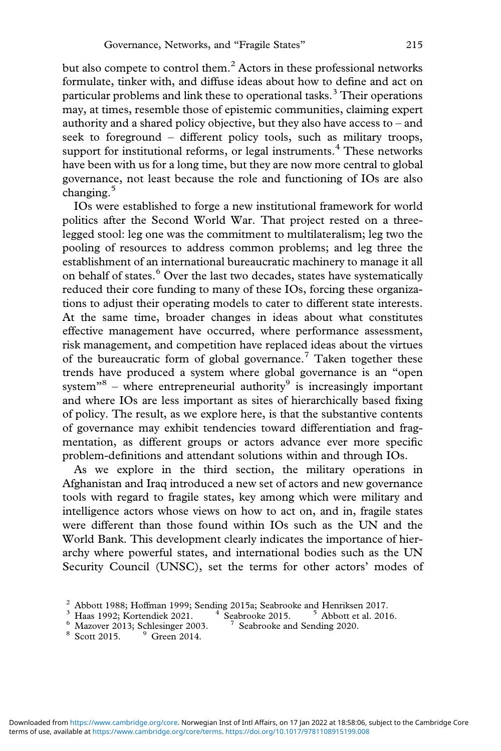but also compete to control them.<sup>2</sup> Actors in these professional networks formulate, tinker with, and diffuse ideas about how to define and act on particular problems and link these to operational tasks.<sup>3</sup> Their operations may, at times, resemble those of epistemic communities, claiming expert authority and a shared policy objective, but they also have access to – and seek to foreground – different policy tools, such as military troops, support for institutional reforms, or legal instruments. $4$  These networks have been with us for a long time, but they are now more central to global governance, not least because the role and functioning of IOs are also changing.<sup>5</sup>

IOs were established to forge a new institutional framework for world politics after the Second World War. That project rested on a threelegged stool: leg one was the commitment to multilateralism; leg two the pooling of resources to address common problems; and leg three the establishment of an international bureaucratic machinery to manage it all on behalf of states.<sup>6</sup> Over the last two decades, states have systematically reduced their core funding to many of these IOs, forcing these organizations to adjust their operating models to cater to different state interests. At the same time, broader changes in ideas about what constitutes effective management have occurred, where performance assessment, risk management, and competition have replaced ideas about the virtues of the bureaucratic form of global governance.<sup>7</sup> Taken together these trends have produced a system where global governance is an "open system $^{\prime\prime\prime}$ <sup>8</sup> – where entrepreneurial authority<sup>9</sup> is increasingly important and where IOs are less important as sites of hierarchically based fixing of policy. The result, as we explore here, is that the substantive contents of governance may exhibit tendencies toward differentiation and fragmentation, as different groups or actors advance ever more specific problem-definitions and attendant solutions within and through IOs.

As we explore in the third section, the military operations in Afghanistan and Iraq introduced a new set of actors and new governance tools with regard to fragile states, key among which were military and intelligence actors whose views on how to act on, and in, fragile states were different than those found within IOs such as the UN and the World Bank. This development clearly indicates the importance of hierarchy where powerful states, and international bodies such as the UN Security Council (UNSC), set the terms for other actors' modes of

 $^2$  Abbott 1988; Hoffman 1999; Sending 2015a; Seabrooke and Henriksen 2017.<br>  $^3$  Haas 1992; Kortendiek 2021.<br>  $^4$  Seabrooke 2015.<br>  $^5$  Abbott et al. 2016.<br>  $^6$  Mazover 2013; Schlesinger 2003.<br>  $^7$  Seabrooke and Send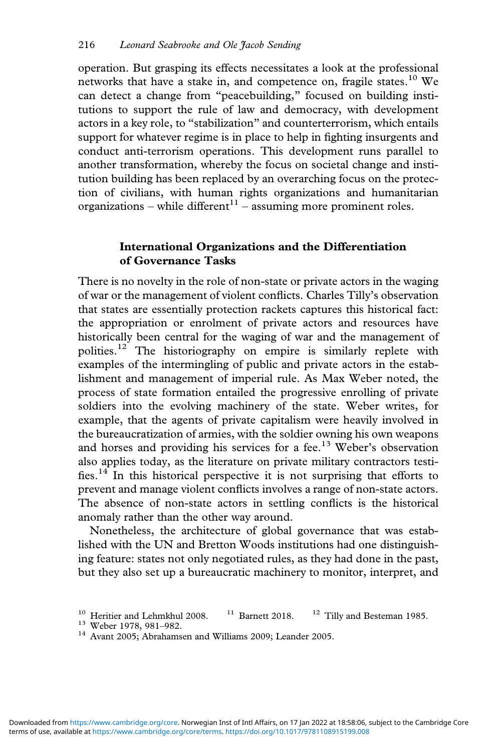operation. But grasping its effects necessitates a look at the professional networks that have a stake in, and competence on, fragile states.<sup>10</sup> We can detect a change from "peacebuilding," focused on building institutions to support the rule of law and democracy, with development actors in a key role, to "stabilization" and counterterrorism, which entails support for whatever regime is in place to help in fighting insurgents and conduct anti-terrorism operations. This development runs parallel to another transformation, whereby the focus on societal change and institution building has been replaced by an overarching focus on the protection of civilians, with human rights organizations and humanitarian organizations – while different<sup>11</sup> – assuming more prominent roles.

## **International Organizations and the Differentiation of Governance Tasks**

There is no novelty in the role of non-state or private actors in the waging of war or the management of violent conflicts. Charles Tilly's observation that states are essentially protection rackets captures this historical fact: the appropriation or enrolment of private actors and resources have historically been central for the waging of war and the management of polities.<sup>12</sup> The historiography on empire is similarly replete with examples of the intermingling of public and private actors in the establishment and management of imperial rule. As Max Weber noted, the process of state formation entailed the progressive enrolling of private soldiers into the evolving machinery of the state. Weber writes, for example, that the agents of private capitalism were heavily involved in the bureaucratization of armies, with the soldier owning his own weapons and horses and providing his services for a fee.<sup>13</sup> Weber's observation also applies today, as the literature on private military contractors testifies.<sup>14</sup> In this historical perspective it is not surprising that efforts to prevent and manage violent conflicts involves a range of non-state actors. The absence of non-state actors in settling conflicts is the historical anomaly rather than the other way around.

Nonetheless, the architecture of global governance that was established with the UN and Bretton Woods institutions had one distinguishing feature: states not only negotiated rules, as they had done in the past, but they also set up a bureaucratic machinery to monitor, interpret, and

<sup>&</sup>lt;sup>10</sup> Heritier and Lehmkhul 2008. <sup>11</sup> Barnett 2018. <sup>12</sup> Tilly and Besteman 1985.<br><sup>13</sup> Weber 1978, 981–982. <sup>14</sup> Avant 2005; Abrahamsen and Williams 2009; Leander 2005.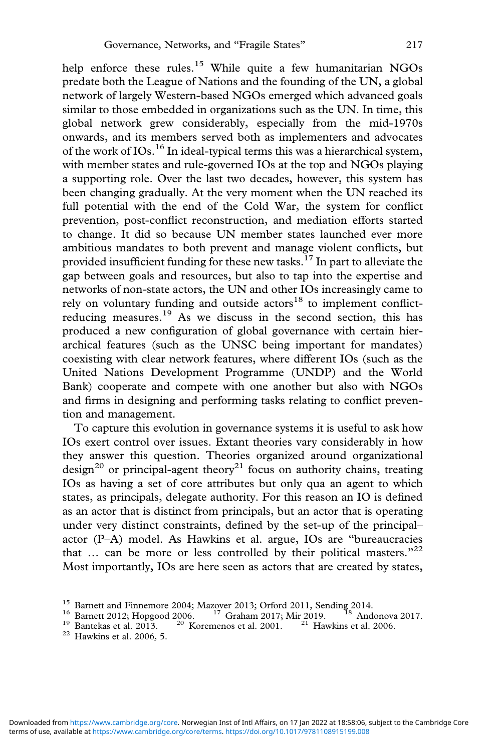help enforce these rules.<sup>15</sup> While quite a few humanitarian NGOs predate both the League of Nations and the founding of the UN, a global network of largely Western-based NGOs emerged which advanced goals similar to those embedded in organizations such as the UN. In time, this global network grew considerably, especially from the mid-1970s onwards, and its members served both as implementers and advocates of the work of IOs.<sup>16</sup> In ideal-typical terms this was a hierarchical system, with member states and rule-governed IOs at the top and NGOs playing a supporting role. Over the last two decades, however, this system has been changing gradually. At the very moment when the UN reached its full potential with the end of the Cold War, the system for conflict prevention, post-conflict reconstruction, and mediation efforts started to change. It did so because UN member states launched ever more ambitious mandates to both prevent and manage violent conflicts, but provided insufficient funding for these new tasks.<sup>17</sup> In part to alleviate the gap between goals and resources, but also to tap into the expertise and networks of non-state actors, the UN and other IOs increasingly came to rely on voluntary funding and outside actors $18$  to implement conflictreducing measures.19 As we discuss in the second section, this has produced a new configuration of global governance with certain hierarchical features (such as the UNSC being important for mandates) coexisting with clear network features, where different IOs (such as the United Nations Development Programme (UNDP) and the World Bank) cooperate and compete with one another but also with NGOs and firms in designing and performing tasks relating to conflict prevention and management.

To capture this evolution in governance systems it is useful to ask how IOs exert control over issues. Extant theories vary considerably in how they answer this question. Theories organized around organizational design<sup>20</sup> or principal-agent theory<sup>21</sup> focus on authority chains, treating IOs as having a set of core attributes but only qua an agent to which states, as principals, delegate authority. For this reason an IO is defined as an actor that is distinct from principals, but an actor that is operating under very distinct constraints, defined by the set-up of the principal– actor (P–A) model. As Hawkins et al. argue, IOs are "bureaucracies that ... can be more or less controlled by their political masters."<sup>22</sup> Most importantly, IOs are here seen as actors that are created by states,

<sup>&</sup>lt;sup>15</sup> Barnett and Finnemore 2004; Mazover 2013; Orford 2011, Sending 2014.<br><sup>16</sup> Barnett 2012; Hopgood 2006. <sup>17</sup> Graham 2017; Mir 2019. <sup>18</sup> Andonova 2017.<br><sup>19</sup> Bantekas et al. 2013. <sup>20</sup> Koremenos et al. 2001. <sup>21</sup> Hawkin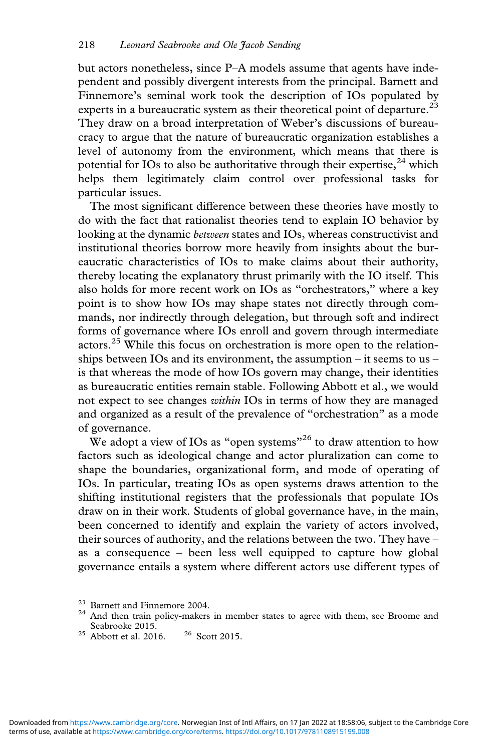but actors nonetheless, since P–A models assume that agents have independent and possibly divergent interests from the principal. Barnett and Finnemore's seminal work took the description of IOs populated by experts in a bureaucratic system as their theoretical point of departure.<sup>23</sup> They draw on a broad interpretation of Weber's discussions of bureaucracy to argue that the nature of bureaucratic organization establishes a level of autonomy from the environment, which means that there is potential for IOs to also be authoritative through their expertise,  $24$  which helps them legitimately claim control over professional tasks for particular issues.

The most significant difference between these theories have mostly to do with the fact that rationalist theories tend to explain IO behavior by looking at the dynamic *between* states and IOs, whereas constructivist and institutional theories borrow more heavily from insights about the bureaucratic characteristics of IOs to make claims about their authority, thereby locating the explanatory thrust primarily with the IO itself. This also holds for more recent work on IOs as "orchestrators," where a key point is to show how IOs may shape states not directly through commands, nor indirectly through delegation, but through soft and indirect forms of governance where IOs enroll and govern through intermediate actors.<sup>25</sup> While this focus on orchestration is more open to the relationships between IOs and its environment, the assumption – it seems to us – is that whereas the mode of how IOs govern may change, their identities as bureaucratic entities remain stable. Following Abbott et al., we would not expect to see changes *within* IOs in terms of how they are managed and organized as a result of the prevalence of "orchestration" as a mode of governance.

We adopt a view of IOs as "open systems"<sup>26</sup> to draw attention to how factors such as ideological change and actor pluralization can come to shape the boundaries, organizational form, and mode of operating of IOs. In particular, treating IOs as open systems draws attention to the shifting institutional registers that the professionals that populate IOs draw on in their work. Students of global governance have, in the main, been concerned to identify and explain the variety of actors involved, their sources of authority, and the relations between the two. They have – as a consequence – been less well equipped to capture how global governance entails a system where different actors use different types of

<sup>&</sup>lt;sup>23</sup> Barnett and Finnemore 2004.<br><sup>24</sup> And then train policy-makers in member states to agree with them, see Broome and Seabrooke 2015.

 $25$  Abbott et al. 2016.  $26$  Scott 2015.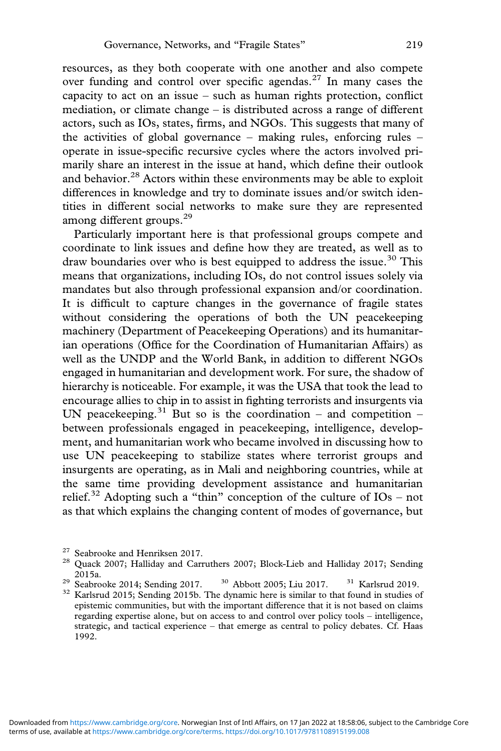resources, as they both cooperate with one another and also compete over funding and control over specific agendas.<sup>27</sup> In many cases the capacity to act on an issue – such as human rights protection, conflict mediation, or climate change – is distributed across a range of different actors, such as IOs, states, firms, and NGOs. This suggests that many of the activities of global governance – making rules, enforcing rules – operate in issue-specific recursive cycles where the actors involved primarily share an interest in the issue at hand, which define their outlook and behavior.<sup>28</sup> Actors within these environments may be able to exploit differences in knowledge and try to dominate issues and/or switch identities in different social networks to make sure they are represented among different groups.<sup>29</sup>

Particularly important here is that professional groups compete and coordinate to link issues and define how they are treated, as well as to draw boundaries over who is best equipped to address the issue.<sup>30</sup> This means that organizations, including IOs, do not control issues solely via mandates but also through professional expansion and/or coordination. It is difficult to capture changes in the governance of fragile states without considering the operations of both the UN peacekeeping machinery (Department of Peacekeeping Operations) and its humanitarian operations (Office for the Coordination of Humanitarian Affairs) as well as the UNDP and the World Bank, in addition to different NGOs engaged in humanitarian and development work. For sure, the shadow of hierarchy is noticeable. For example, it was the USA that took the lead to encourage allies to chip in to assist in fighting terrorists and insurgents via UN peacekeeping.<sup>31</sup> But so is the coordination – and competition – between professionals engaged in peacekeeping, intelligence, development, and humanitarian work who became involved in discussing how to use UN peacekeeping to stabilize states where terrorist groups and insurgents are operating, as in Mali and neighboring countries, while at the same time providing development assistance and humanitarian relief.<sup>32</sup> Adopting such a "thin" conception of the culture of  $IOs$  – not as that which explains the changing content of modes of governance, but

<sup>&</sup>lt;sup>27</sup> Seabrooke and Henriksen 2017.<br><sup>28</sup> Quack 2007; Halliday and Carruthers 2007; Block-Lieb and Halliday 2017; Sending 2015a.

<sup>&</sup>lt;sup>29</sup> Seabrooke 2014; Sending 2017. <sup>30</sup> Abbott 2005; Liu 2017. <sup>31</sup> Karlsrud 2019.<br><sup>32</sup> Karlsrud 2015; Sending 2015b. The dynamic here is similar to that found in studies of epistemic communities, but with the important difference that it is not based on claims regarding expertise alone, but on access to and control over policy tools – intelligence, strategic, and tactical experience – that emerge as central to policy debates. Cf. Haas 1992.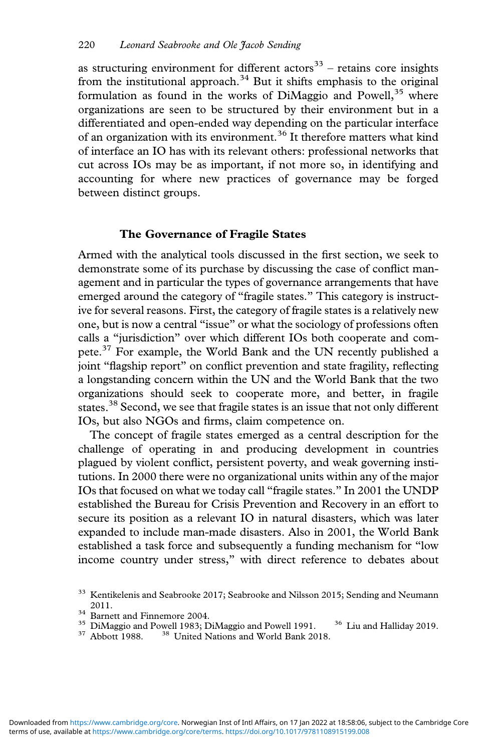as structuring environment for different actors<sup>33</sup> – retains core insights from the institutional approach.<sup>34</sup> But it shifts emphasis to the original formulation as found in the works of DiMaggio and Powell,<sup>35</sup> where organizations are seen to be structured by their environment but in a differentiated and open-ended way depending on the particular interface of an organization with its environment.<sup>36</sup> It therefore matters what kind of interface an IO has with its relevant others: professional networks that cut across IOs may be as important, if not more so, in identifying and accounting for where new practices of governance may be forged between distinct groups.

### **The Governance of Fragile States**

Armed with the analytical tools discussed in the first section, we seek to demonstrate some of its purchase by discussing the case of conflict management and in particular the types of governance arrangements that have emerged around the category of "fragile states." This category is instructive for several reasons. First, the category of fragile states is a relatively new one, but is now a central "issue" or what the sociology of professions often calls a "jurisdiction" over which different IOs both cooperate and compete.<sup>37</sup> For example, the World Bank and the UN recently published a joint "flagship report" on conflict prevention and state fragility, reflecting a longstanding concern within the UN and the World Bank that the two organizations should seek to cooperate more, and better, in fragile states.<sup>38</sup> Second, we see that fragile states is an issue that not only different IOs, but also NGOs and firms, claim competence on.

The concept of fragile states emerged as a central description for the challenge of operating in and producing development in countries plagued by violent conflict, persistent poverty, and weak governing institutions. In 2000 there were no organizational units within any of the major IOs that focused on what we today call "fragile states." In 2001 the UNDP established the Bureau for Crisis Prevention and Recovery in an effort to secure its position as a relevant IO in natural disasters, which was later expanded to include man-made disasters. Also in 2001, the World Bank established a task force and subsequently a funding mechanism for "low income country under stress," with direct reference to debates about

<sup>&</sup>lt;sup>33</sup> Kentikelenis and Seabrooke 2017; Seabrooke and Nilsson 2015; Sending and Neumann

<sup>2011.&</sup>lt;br><sup>34</sup> Barnett and Finnemore 2004.<br><sup>35</sup> DiMaggio and Powell 1983; DiMaggio and Powell 1991. <sup>36</sup> Liu and Halliday 2019.<br><sup>37</sup> Abbott 1988. <sup>38</sup> United Nations and World Bank 2018.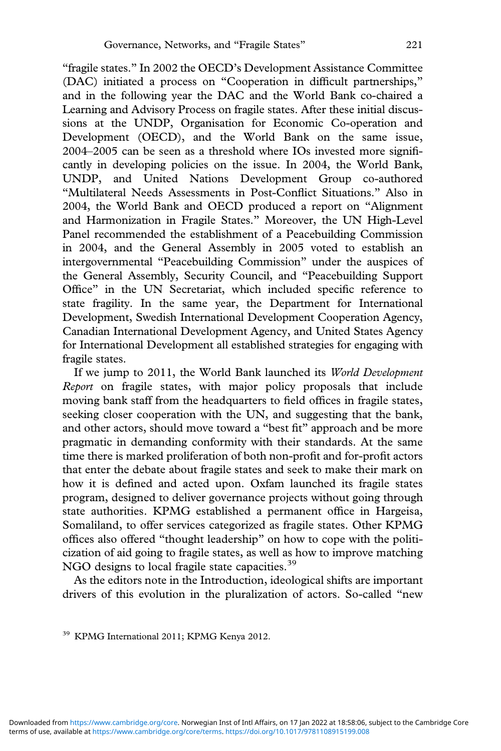"fragile states." In 2002 the OECD's Development Assistance Committee (DAC) initiated a process on "Cooperation in difficult partnerships," and in the following year the DAC and the World Bank co-chaired a Learning and Advisory Process on fragile states. After these initial discussions at the UNDP, Organisation for Economic Co-operation and Development (OECD), and the World Bank on the same issue, 2004–2005 can be seen as a threshold where IOs invested more significantly in developing policies on the issue. In 2004, the World Bank, UNDP, and United Nations Development Group co-authored "Multilateral Needs Assessments in Post-Conflict Situations." Also in 2004, the World Bank and OECD produced a report on "Alignment and Harmonization in Fragile States." Moreover, the UN High-Level Panel recommended the establishment of a Peacebuilding Commission in 2004, and the General Assembly in 2005 voted to establish an intergovernmental "Peacebuilding Commission" under the auspices of the General Assembly, Security Council, and "Peacebuilding Support Office" in the UN Secretariat, which included specific reference to state fragility. In the same year, the Department for International Development, Swedish International Development Cooperation Agency, Canadian International Development Agency, and United States Agency for International Development all established strategies for engaging with fragile states.

If we jump to 2011, the World Bank launched its *World Development Report* on fragile states, with major policy proposals that include moving bank staff from the headquarters to field offices in fragile states, seeking closer cooperation with the UN, and suggesting that the bank, and other actors, should move toward a "best fit" approach and be more pragmatic in demanding conformity with their standards. At the same time there is marked proliferation of both non-profit and for-profit actors that enter the debate about fragile states and seek to make their mark on how it is defined and acted upon. Oxfam launched its fragile states program, designed to deliver governance projects without going through state authorities. KPMG established a permanent office in Hargeisa, Somaliland, to offer services categorized as fragile states. Other KPMG offices also offered "thought leadership" on how to cope with the politicization of aid going to fragile states, as well as how to improve matching NGO designs to local fragile state capacities.<sup>39</sup>

As the editors note in the Introduction, ideological shifts are important drivers of this evolution in the pluralization of actors. So-called "new

<sup>&</sup>lt;sup>39</sup> KPMG International 2011; KPMG Kenya 2012.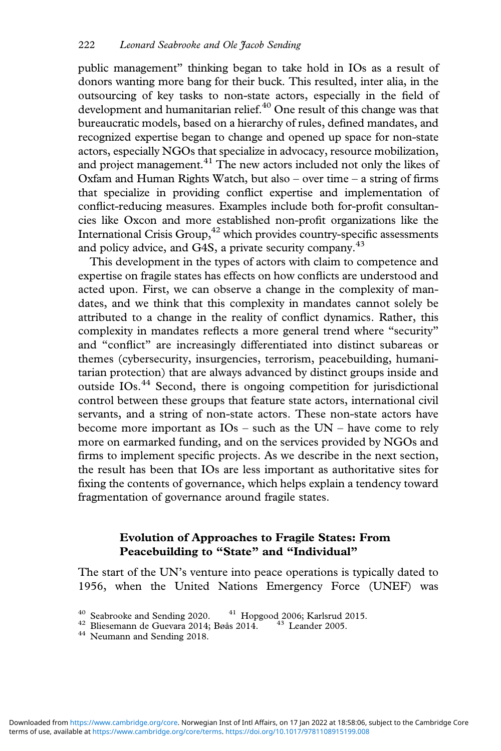public management" thinking began to take hold in IOs as a result of donors wanting more bang for their buck. This resulted, inter alia, in the outsourcing of key tasks to non-state actors, especially in the field of development and humanitarian relief. $40$  One result of this change was that bureaucratic models, based on a hierarchy of rules, defined mandates, and recognized expertise began to change and opened up space for non-state actors, especially NGOs that specialize in advocacy, resource mobilization, and project management. $^{41}$  The new actors included not only the likes of Oxfam and Human Rights Watch, but also – over time – a string of firms that specialize in providing conflict expertise and implementation of conflict-reducing measures. Examples include both for-profit consultancies like Oxcon and more established non-profit organizations like the International Crisis Group, $42$  which provides country-specific assessments and policy advice, and G4S, a private security company.<sup>43</sup>

This development in the types of actors with claim to competence and expertise on fragile states has effects on how conflicts are understood and acted upon. First, we can observe a change in the complexity of mandates, and we think that this complexity in mandates cannot solely be attributed to a change in the reality of conflict dynamics. Rather, this complexity in mandates reflects a more general trend where "security" and "conflict" are increasingly differentiated into distinct subareas or themes (cybersecurity, insurgencies, terrorism, peacebuilding, humanitarian protection) that are always advanced by distinct groups inside and outside IOs.<sup>44</sup> Second, there is ongoing competition for jurisdictional control between these groups that feature state actors, international civil servants, and a string of non-state actors. These non-state actors have become more important as IOs – such as the UN – have come to rely more on earmarked funding, and on the services provided by NGOs and firms to implement specific projects. As we describe in the next section, the result has been that IOs are less important as authoritative sites for fixing the contents of governance, which helps explain a tendency toward fragmentation of governance around fragile states.

## **Evolution of Approaches to Fragile States: From Peacebuilding to "State" and "Individual"**

The start of the UN's venture into peace operations is typically dated to 1956, when the United Nations Emergency Force (UNEF) was

 $^{40}$ Seabrooke and Sending 2020.  $^{41}$  Hopgood 2006; Karlsrud 2015.  $^{42}$  Bliesemann de Guevara 2014; Bøås 2014.  $^{43}$  Leander 2005.  $^{44}$  Neumann and Sending 2018.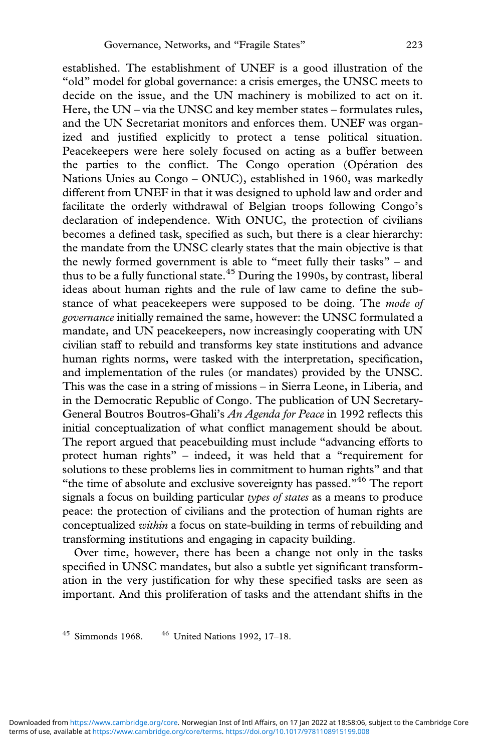established. The establishment of UNEF is a good illustration of the "old" model for global governance: a crisis emerges, the UNSC meets to decide on the issue, and the UN machinery is mobilized to act on it. Here, the UN – via the UNSC and key member states – formulates rules, and the UN Secretariat monitors and enforces them. UNEF was organized and justified explicitly to protect a tense political situation. Peacekeepers were here solely focused on acting as a buffer between the parties to the conflict. The Congo operation (Opération des Nations Unies au Congo – ONUC), established in 1960, was markedly different from UNEF in that it was designed to uphold law and order and facilitate the orderly withdrawal of Belgian troops following Congo's declaration of independence. With ONUC, the protection of civilians becomes a defined task, specified as such, but there is a clear hierarchy: the mandate from the UNSC clearly states that the main objective is that the newly formed government is able to "meet fully their tasks" – and thus to be a fully functional state.<sup>45</sup> During the 1990s, by contrast, liberal ideas about human rights and the rule of law came to define the substance of what peacekeepers were supposed to be doing. The *mode of governance* initially remained the same, however: the UNSC formulated a mandate, and UN peacekeepers, now increasingly cooperating with UN civilian staff to rebuild and transforms key state institutions and advance human rights norms, were tasked with the interpretation, specification, and implementation of the rules (or mandates) provided by the UNSC. This was the case in a string of missions – in Sierra Leone, in Liberia, and in the Democratic Republic of Congo. The publication of UN Secretary-General Boutros Boutros-Ghali's *An Agenda for Peace* in 1992 reflects this initial conceptualization of what conflict management should be about. The report argued that peacebuilding must include "advancing efforts to protect human rights" – indeed, it was held that a "requirement for solutions to these problems lies in commitment to human rights" and that "the time of absolute and exclusive sovereignty has passed."<sup>46</sup> The report signals a focus on building particular *types of states* as a means to produce peace: the protection of civilians and the protection of human rights are conceptualized *within* a focus on state-building in terms of rebuilding and transforming institutions and engaging in capacity building.

Over time, however, there has been a change not only in the tasks specified in UNSC mandates, but also a subtle yet significant transformation in the very justification for why these specified tasks are seen as important. And this proliferation of tasks and the attendant shifts in the

 $45$  Simmonds 1968.  $46$  United Nations 1992, 17-18.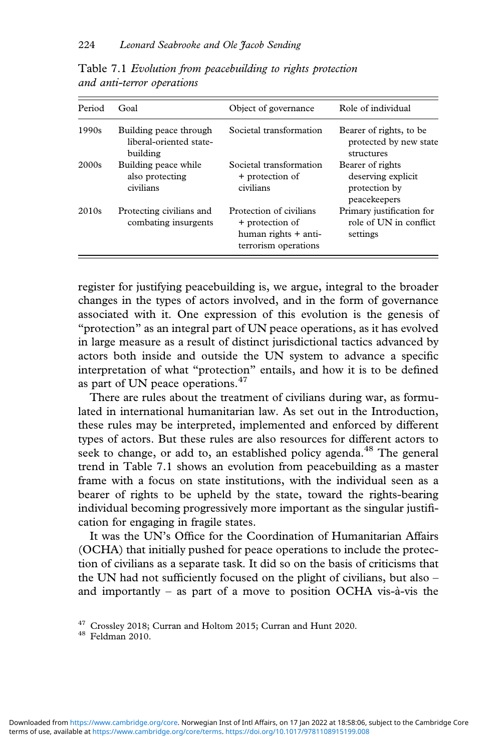| Period | Goal                                                          | Object of governance                                                                       | Role of individual                                                      |
|--------|---------------------------------------------------------------|--------------------------------------------------------------------------------------------|-------------------------------------------------------------------------|
| 1990s  | Building peace through<br>liberal-oriented state-<br>building | Societal transformation                                                                    | Bearer of rights, to be<br>protected by new state<br>structures         |
| 2000s  | Building peace while<br>also protecting<br>civilians          | Societal transformation<br>+ protection of<br>civilians                                    | Bearer of rights<br>deserving explicit<br>protection by<br>peacekeepers |
| 2010s  | Protecting civilians and<br>combating insurgents              | Protection of civilians<br>+ protection of<br>human rights + anti-<br>terrorism operations | Primary justification for<br>role of UN in conflict<br>settings         |

Table 7.1 *Evolution from peacebuilding to rights protection and anti-terror operations*

register for justifying peacebuilding is, we argue, integral to the broader changes in the types of actors involved, and in the form of governance associated with it. One expression of this evolution is the genesis of "protection" as an integral part of UN peace operations, as it has evolved in large measure as a result of distinct jurisdictional tactics advanced by actors both inside and outside the UN system to advance a specific interpretation of what "protection" entails, and how it is to be defined as part of UN peace operations.<sup>47</sup>

There are rules about the treatment of civilians during war, as formulated in international humanitarian law. As set out in the Introduction, these rules may be interpreted, implemented and enforced by different types of actors. But these rules are also resources for different actors to seek to change, or add to, an established policy agenda.<sup>48</sup> The general trend in Table 7.1 shows an evolution from peacebuilding as a master frame with a focus on state institutions, with the individual seen as a bearer of rights to be upheld by the state, toward the rights-bearing individual becoming progressively more important as the singular justification for engaging in fragile states.

It was the UN's Office for the Coordination of Humanitarian Affairs (OCHA) that initially pushed for peace operations to include the protection of civilians as a separate task. It did so on the basis of criticisms that the UN had not sufficiently focused on the plight of civilians, but also – and importantly – as part of a move to position OCHA vis-à-vis the

 $^{47}$  Crossley 2018; Curran and Holtom 2015; Curran and Hunt 2020.  $^{48}$  Feldman 2010.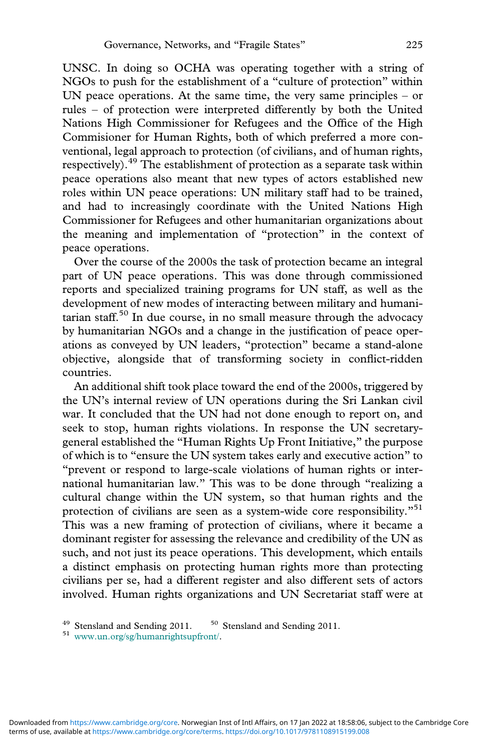UNSC. In doing so OCHA was operating together with a string of NGOs to push for the establishment of a "culture of protection" within UN peace operations. At the same time, the very same principles – or rules – of protection were interpreted differently by both the United Nations High Commissioner for Refugees and the Office of the High Commisioner for Human Rights, both of which preferred a more conventional, legal approach to protection (of civilians, and of human rights, respectively).<sup>49</sup> The establishment of protection as a separate task within peace operations also meant that new types of actors established new roles within UN peace operations: UN military staff had to be trained, and had to increasingly coordinate with the United Nations High Commissioner for Refugees and other humanitarian organizations about the meaning and implementation of "protection" in the context of peace operations.

Over the course of the 2000s the task of protection became an integral part of UN peace operations. This was done through commissioned reports and specialized training programs for UN staff, as well as the development of new modes of interacting between military and humanitarian staff.50 In due course, in no small measure through the advocacy by humanitarian NGOs and a change in the justification of peace operations as conveyed by UN leaders, "protection" became a stand-alone objective, alongside that of transforming society in conflict-ridden countries.

An additional shift took place toward the end of the 2000s, triggered by the UN's internal review of UN operations during the Sri Lankan civil war. It concluded that the UN had not done enough to report on, and seek to stop, human rights violations. In response the UN secretarygeneral established the "Human Rights Up Front Initiative," the purpose of which is to "ensure the UN system takes early and executive action" to "prevent or respond to large-scale violations of human rights or international humanitarian law." This was to be done through "realizing a cultural change within the UN system, so that human rights and the protection of civilians are seen as a system-wide core responsibility."<sup>51</sup> This was a new framing of protection of civilians, where it became a dominant register for assessing the relevance and credibility of the UN as such, and not just its peace operations. This development, which entails a distinct emphasis on protecting human rights more than protecting civilians per se, had a different register and also different sets of actors involved. Human rights organizations and UN Secretariat staff were at

<sup>&</sup>lt;sup>49</sup> Stensland and Sending 2011. <sup>50</sup> Stensland and Sending 2011.<br><sup>51</sup> [www.un.org/sg/humanrightsupfront/](http://www.un.org/sg/humanrightsupfront/).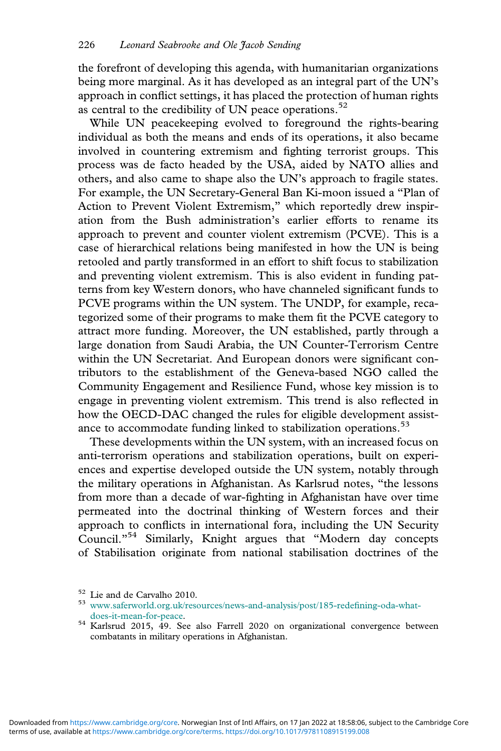the forefront of developing this agenda, with humanitarian organizations being more marginal. As it has developed as an integral part of the UN's approach in conflict settings, it has placed the protection of human rights as central to the credibility of UN peace operations.<sup>52</sup>

While UN peacekeeping evolved to foreground the rights-bearing individual as both the means and ends of its operations, it also became involved in countering extremism and fighting terrorist groups. This process was de facto headed by the USA, aided by NATO allies and others, and also came to shape also the UN's approach to fragile states. For example, the UN Secretary-General Ban Ki-moon issued a "Plan of Action to Prevent Violent Extremism," which reportedly drew inspiration from the Bush administration's earlier efforts to rename its approach to prevent and counter violent extremism (PCVE). This is a case of hierarchical relations being manifested in how the UN is being retooled and partly transformed in an effort to shift focus to stabilization and preventing violent extremism. This is also evident in funding patterns from key Western donors, who have channeled significant funds to PCVE programs within the UN system. The UNDP, for example, recategorized some of their programs to make them fit the PCVE category to attract more funding. Moreover, the UN established, partly through a large donation from Saudi Arabia, the UN Counter-Terrorism Centre within the UN Secretariat. And European donors were significant contributors to the establishment of the Geneva-based NGO called the Community Engagement and Resilience Fund, whose key mission is to engage in preventing violent extremism. This trend is also reflected in how the OECD-DAC changed the rules for eligible development assistance to accommodate funding linked to stabilization operations.<sup>53</sup>

These developments within the UN system, with an increased focus on anti-terrorism operations and stabilization operations, built on experiences and expertise developed outside the UN system, notably through the military operations in Afghanistan. As Karlsrud notes, "the lessons from more than a decade of war-fighting in Afghanistan have over time permeated into the doctrinal thinking of Western forces and their approach to conflicts in international fora, including the UN Security Council."<sup>54</sup> Similarly, Knight argues that "Modern day concepts of Stabilisation originate from national stabilisation doctrines of the

<sup>&</sup>lt;sup>52</sup> Lie and de Carvalho 2010.<br><sup>53</sup> [www.saferworld.org.uk/resources/news-and-analysis/post/185-rede](http://www.saferworld.org.uk/resources/news-and-analysis/post/185-redefining-oda-what-does-it-mean-for-peace)fining-oda-what-

[does-it-mean-for-peace.](http://www.saferworld.org.uk/resources/news-and-analysis/post/185-redefining-oda-what-does-it-mean-for-peace) <sup>54</sup> Karlsrud 2015, 49. See also Farrell <sup>2020</sup> on organizational convergence between combatants in military operations in Afghanistan.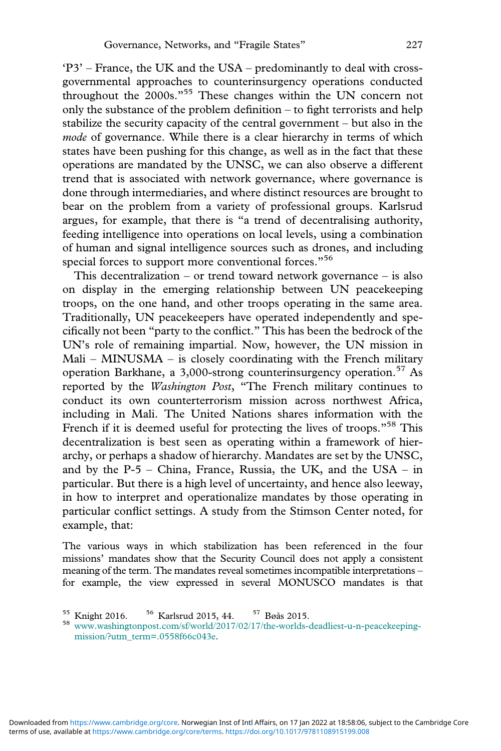'P3' – France, the UK and the USA – predominantly to deal with crossgovernmental approaches to counterinsurgency operations conducted throughout the 2000s."<sup>55</sup> These changes within the UN concern not only the substance of the problem definition – to fight terrorists and help stabilize the security capacity of the central government – but also in the *mode* of governance. While there is a clear hierarchy in terms of which states have been pushing for this change, as well as in the fact that these operations are mandated by the UNSC, we can also observe a different trend that is associated with network governance, where governance is done through intermediaries, and where distinct resources are brought to bear on the problem from a variety of professional groups. Karlsrud argues, for example, that there is "a trend of decentralising authority, feeding intelligence into operations on local levels, using a combination of human and signal intelligence sources such as drones, and including special forces to support more conventional forces."<sup>56</sup>

This decentralization – or trend toward network governance – is also on display in the emerging relationship between UN peacekeeping troops, on the one hand, and other troops operating in the same area. Traditionally, UN peacekeepers have operated independently and specifically not been "party to the conflict." This has been the bedrock of the UN's role of remaining impartial. Now, however, the UN mission in Mali – MINUSMA – is closely coordinating with the French military operation Barkhane, a 3,000-strong counterinsurgency operation.<sup>57</sup> As reported by the *Washington Post*, "The French military continues to conduct its own counterterrorism mission across northwest Africa, including in Mali. The United Nations shares information with the French if it is deemed useful for protecting the lives of troops."<sup>58</sup> This decentralization is best seen as operating within a framework of hierarchy, or perhaps a shadow of hierarchy. Mandates are set by the UNSC, and by the  $P-5$  – China, France, Russia, the UK, and the USA – in particular. But there is a high level of uncertainty, and hence also leeway, in how to interpret and operationalize mandates by those operating in particular conflict settings. A study from the Stimson Center noted, for example, that:

The various ways in which stabilization has been referenced in the four missions' mandates show that the Security Council does not apply a consistent meaning of the term. The mandates reveal sometimes incompatible interpretations – for example, the view expressed in several MONUSCO mandates is that

<sup>&</sup>lt;sup>55</sup> Knight 2016. <sup>56</sup> Karlsrud 2015, 44. <sup>57</sup> Bøås 2015.<br><sup>58</sup> [www.washingtonpost.com/sf/world/2017/02/17/the-worlds-deadliest-u-n-peacekeeping](http://www.washingtonpost.com/sf/world/2017/02/17/the-worlds-deadliest-u-n-peacekeeping-mission/?utm_term=.0558f66c043e.)[mission/?utm\\_term=.0558f66c043e](http://www.washingtonpost.com/sf/world/2017/02/17/the-worlds-deadliest-u-n-peacekeeping-mission/?utm_term=.0558f66c043e.).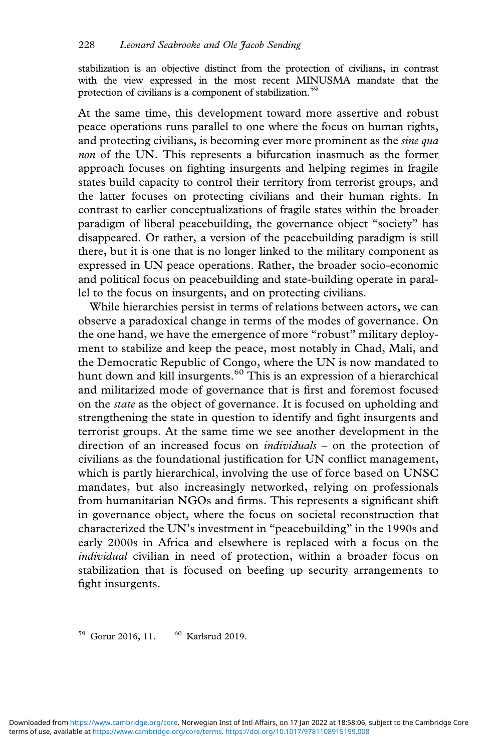stabilization is an objective distinct from the protection of civilians, in contrast with the view expressed in the most recent MINUSMA mandate that the protection of civilians is a component of stabilization.<sup>59</sup>

At the same time, this development toward more assertive and robust peace operations runs parallel to one where the focus on human rights, and protecting civilians, is becoming ever more prominent as the *sine qua non* of the UN. This represents a bifurcation inasmuch as the former approach focuses on fighting insurgents and helping regimes in fragile states build capacity to control their territory from terrorist groups, and the latter focuses on protecting civilians and their human rights. In contrast to earlier conceptualizations of fragile states within the broader paradigm of liberal peacebuilding, the governance object "society" has disappeared. Or rather, a version of the peacebuilding paradigm is still there, but it is one that is no longer linked to the military component as expressed in UN peace operations. Rather, the broader socio-economic and political focus on peacebuilding and state-building operate in parallel to the focus on insurgents, and on protecting civilians.

While hierarchies persist in terms of relations between actors, we can observe a paradoxical change in terms of the modes of governance. On the one hand, we have the emergence of more "robust" military deployment to stabilize and keep the peace, most notably in Chad, Mali, and the Democratic Republic of Congo, where the UN is now mandated to hunt down and kill insurgents.<sup>60</sup> This is an expression of a hierarchical and militarized mode of governance that is first and foremost focused on the *state* as the object of governance. It is focused on upholding and strengthening the state in question to identify and fight insurgents and terrorist groups. At the same time we see another development in the direction of an increased focus on *individuals* – on the protection of civilians as the foundational justification for UN conflict management, which is partly hierarchical, involving the use of force based on UNSC mandates, but also increasingly networked, relying on professionals from humanitarian NGOs and firms. This represents a significant shift in governance object, where the focus on societal reconstruction that characterized the UN's investment in "peacebuilding" in the 1990s and early 2000s in Africa and elsewhere is replaced with a focus on the *individual* civilian in need of protection, within a broader focus on stabilization that is focused on beefing up security arrangements to fight insurgents.

<sup>59</sup> Gorur 2016, 11. <sup>60</sup> Karlsrud 2019.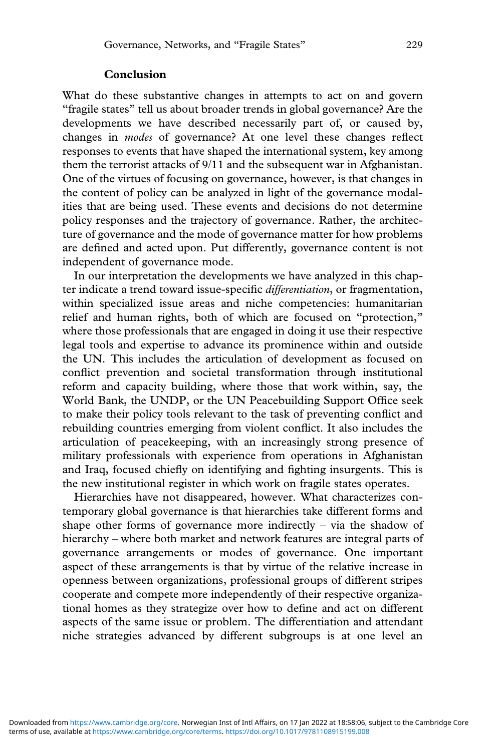#### **Conclusion**

What do these substantive changes in attempts to act on and govern "fragile states" tell us about broader trends in global governance? Are the developments we have described necessarily part of, or caused by, changes in *modes* of governance? At one level these changes reflect responses to events that have shaped the international system, key among them the terrorist attacks of 9/11 and the subsequent war in Afghanistan. One of the virtues of focusing on governance, however, is that changes in the content of policy can be analyzed in light of the governance modalities that are being used. These events and decisions do not determine policy responses and the trajectory of governance. Rather, the architecture of governance and the mode of governance matter for how problems are defined and acted upon. Put differently, governance content is not independent of governance mode.

In our interpretation the developments we have analyzed in this chapter indicate a trend toward issue-specific *differentiation*, or fragmentation, within specialized issue areas and niche competencies: humanitarian relief and human rights, both of which are focused on "protection," where those professionals that are engaged in doing it use their respective legal tools and expertise to advance its prominence within and outside the UN. This includes the articulation of development as focused on conflict prevention and societal transformation through institutional reform and capacity building, where those that work within, say, the World Bank, the UNDP, or the UN Peacebuilding Support Office seek to make their policy tools relevant to the task of preventing conflict and rebuilding countries emerging from violent conflict. It also includes the articulation of peacekeeping, with an increasingly strong presence of military professionals with experience from operations in Afghanistan and Iraq, focused chiefly on identifying and fighting insurgents. This is the new institutional register in which work on fragile states operates.

Hierarchies have not disappeared, however. What characterizes contemporary global governance is that hierarchies take different forms and shape other forms of governance more indirectly – via the shadow of hierarchy – where both market and network features are integral parts of governance arrangements or modes of governance. One important aspect of these arrangements is that by virtue of the relative increase in openness between organizations, professional groups of different stripes cooperate and compete more independently of their respective organizational homes as they strategize over how to define and act on different aspects of the same issue or problem. The differentiation and attendant niche strategies advanced by different subgroups is at one level an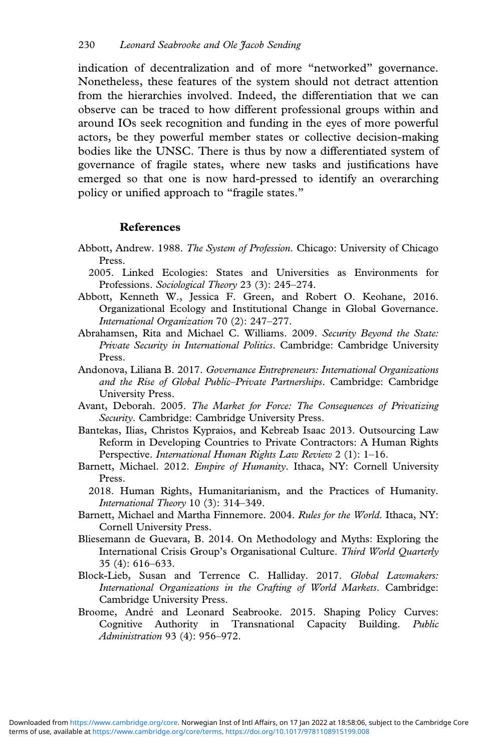indication of decentralization and of more "networked" governance. Nonetheless, these features of the system should not detract attention from the hierarchies involved. Indeed, the differentiation that we can observe can be traced to how different professional groups within and around IOs seek recognition and funding in the eyes of more powerful actors, be they powerful member states or collective decision-making bodies like the UNSC. There is thus by now a differentiated system of governance of fragile states, where new tasks and justifications have emerged so that one is now hard-pressed to identify an overarching policy or unified approach to "fragile states."

#### **References**

- Abbott, Andrew. 1988. *The System of Profession*. Chicago: University of Chicago Press.
	- 2005. Linked Ecologies: States and Universities as Environments for Professions. *Sociological Theory* 23 (3): 245–274.
- Abbott, Kenneth W., Jessica F. Green, and Robert O. Keohane, 2016. Organizational Ecology and Institutional Change in Global Governance. *International Organization* 70 (2): 247–277.
- Abrahamsen, Rita and Michael C. Williams. 2009. *Security Beyond the State: Private Security in International Politics*. Cambridge: Cambridge University Press.
- Andonova, Liliana B. 2017. *Governance Entrepreneurs: International Organizations and the Rise of Global Public–Private Partnerships*. Cambridge: Cambridge University Press.
- Avant, Deborah. 2005. *The Market for Force: The Consequences of Privatizing Security*. Cambridge: Cambridge University Press.
- Bantekas, Ilias, Christos Kypraios, and Kebreab Isaac 2013. Outsourcing Law Reform in Developing Countries to Private Contractors: A Human Rights Perspective. *International Human Rights Law Review* 2 (1): 1–16.
- Barnett, Michael. 2012. *Empire of Humanity*. Ithaca, NY: Cornell University Press.
	- 2018. Human Rights, Humanitarianism, and the Practices of Humanity. *International Theory* 10 (3): 314–349.
- Barnett, Michael and Martha Finnemore. 2004. *Rules for the World*. Ithaca, NY: Cornell University Press.
- Bliesemann de Guevara, B. 2014. On Methodology and Myths: Exploring the International Crisis Group's Organisational Culture. *Third World Quarterly* 35 (4): 616–633.
- Block-Lieb, Susan and Terrence C. Halliday. 2017. *Global Lawmakers: International Organizations in the Crafting of World Markets*. Cambridge: Cambridge University Press.
- Broome, André and Leonard Seabrooke. 2015. Shaping Policy Curves: Cognitive Authority in Transnational Capacity Building. *Public Administration* 93 (4): 956–972.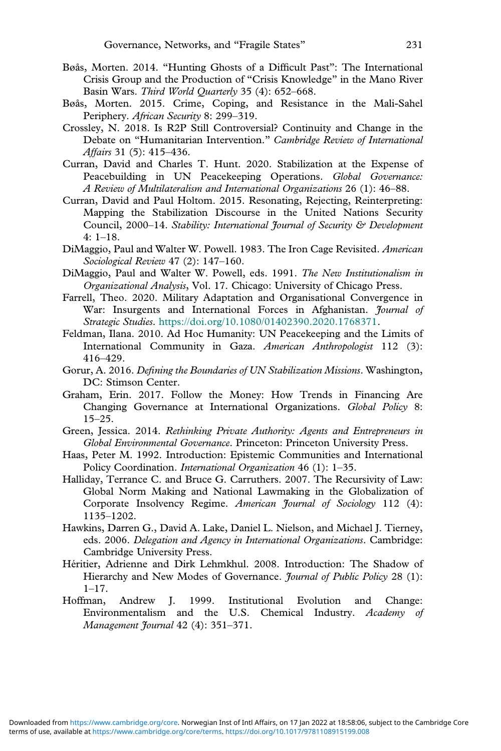- Bøås, Morten. 2014. "Hunting Ghosts of a Difficult Past": The International Crisis Group and the Production of "Crisis Knowledge" in the Mano River Basin Wars. *Third World Quarterly* 35 (4): 652–668.
- Bøås, Morten. 2015. Crime, Coping, and Resistance in the Mali-Sahel Periphery. *African Security* 8: 299–319.
- Crossley, N. 2018. Is R2P Still Controversial? Continuity and Change in the Debate on "Humanitarian Intervention." *Cambridge Review of International Affairs* 31 (5): 415–436.
- Curran, David and Charles T. Hunt. 2020. Stabilization at the Expense of Peacebuilding in UN Peacekeeping Operations. *Global Governance: A Review of Multilateralism and International Organizations* 26 (1): 46–88.
- Curran, David and Paul Holtom. 2015. Resonating, Rejecting, Reinterpreting: Mapping the Stabilization Discourse in the United Nations Security Council, 2000–14. *Stability: International Journal of Security & Development* 4: 1–18.
- DiMaggio, Paul and Walter W. Powell. 1983. The Iron Cage Revisited. *American Sociological Review* 47 (2): 147–160.
- DiMaggio, Paul and Walter W. Powell, eds. 1991. *The New Institutionalism in Organizational Analysis*, Vol. 17. Chicago: University of Chicago Press.
- Farrell, Theo. 2020. Military Adaptation and Organisational Convergence in War: Insurgents and International Forces in Afghanistan. *Journal of Strategic Studies*. <https://doi.org/10.1080/01402390.2020.1768371>.
- Feldman, Ilana. 2010. Ad Hoc Humanity: UN Peacekeeping and the Limits of International Community in Gaza. *American Anthropologist* 112 (3): 416–429.
- Gorur, A. 2016. *Defining the Boundaries of UN Stabilization Missions*. Washington, DC: Stimson Center.
- Graham, Erin. 2017. Follow the Money: How Trends in Financing Are Changing Governance at International Organizations. *Global Policy* 8: 15–25.
- Green, Jessica. 2014. *Rethinking Private Authority: Agents and Entrepreneurs in Global Environmental Governance*. Princeton: Princeton University Press.
- Haas, Peter M. 1992. Introduction: Epistemic Communities and International Policy Coordination. *International Organization* 46 (1): 1–35.
- Halliday, Terrance C. and Bruce G. Carruthers. 2007. The Recursivity of Law: Global Norm Making and National Lawmaking in the Globalization of Corporate Insolvency Regime. *American Journal of Sociology* 112 (4): 1135–1202.
- Hawkins, Darren G., David A. Lake, Daniel L. Nielson, and Michael J. Tierney, eds. 2006. *Delegation and Agency in International Organizations*. Cambridge: Cambridge University Press.
- Héritier, Adrienne and Dirk Lehmkhul. 2008. Introduction: The Shadow of Hierarchy and New Modes of Governance. *Journal of Public Policy* 28 (1): 1–17.
- Hoffman, Andrew J. 1999. Institutional Evolution and Change: Environmentalism and the U.S. Chemical Industry. *Academy of Management Journal* 42 (4): 351–371.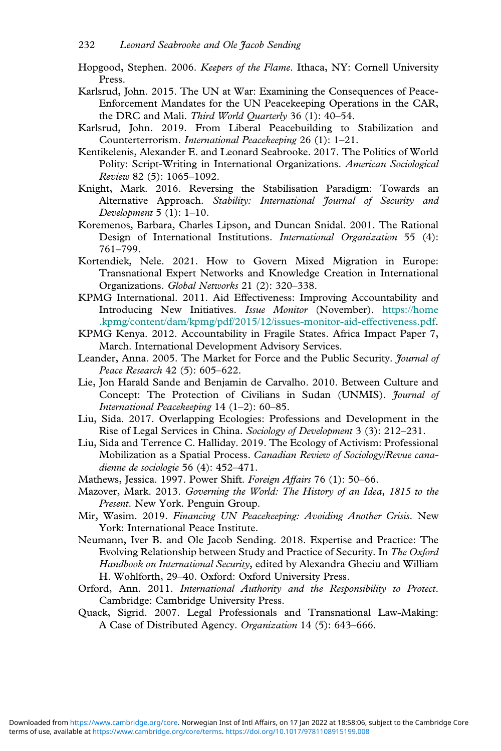- Hopgood, Stephen. 2006. *Keepers of the Flame*. Ithaca, NY: Cornell University Press.
- Karlsrud, John. 2015. The UN at War: Examining the Consequences of Peace-Enforcement Mandates for the UN Peacekeeping Operations in the CAR, the DRC and Mali. *Third World Quarterly* 36 (1): 40–54.
- Karlsrud, John. 2019. From Liberal Peacebuilding to Stabilization and Counterterrorism. *International Peacekeeping* 26 (1): 1–21.
- Kentikelenis, Alexander E. and Leonard Seabrooke. 2017. The Politics of World Polity: Script-Writing in International Organizations. *American Sociological Review* 82 (5): 1065–1092.
- Knight, Mark. 2016. Reversing the Stabilisation Paradigm: Towards an Alternative Approach. *Stability: International Journal of Security and Development* 5 (1): 1–10.
- Koremenos, Barbara, Charles Lipson, and Duncan Snidal. 2001. The Rational Design of International Institutions. *International Organization* 55 (4): 761–799.
- Kortendiek, Nele. 2021. How to Govern Mixed Migration in Europe: Transnational Expert Networks and Knowledge Creation in International Organizations. *Global Networks* 21 (2): 320–338.
- KPMG International. 2011. Aid Effectiveness: Improving Accountability and Introducing New Initiatives. *Issue Monitor* (November). [https://home](https://home.kpmg/content/dam/kpmg/pdf/2015/12/issues-monitor-aid-effectiveness.pdf) [.kpmg/content/dam/kpmg/pdf/2015/12/issues-monitor-aid-effectiveness.pdf](https://home.kpmg/content/dam/kpmg/pdf/2015/12/issues-monitor-aid-effectiveness.pdf).
- KPMG Kenya. 2012. Accountability in Fragile States. Africa Impact Paper 7, March. International Development Advisory Services.
- Leander, Anna. 2005. The Market for Force and the Public Security. *Journal of Peace Research* 42 (5): 605–622.
- Lie, Jon Harald Sande and Benjamin de Carvalho. 2010. Between Culture and Concept: The Protection of Civilians in Sudan (UNMIS). *Journal of International Peacekeeping* 14 (1–2): 60–85.
- Liu, Sida. 2017. Overlapping Ecologies: Professions and Development in the Rise of Legal Services in China. *Sociology of Development* 3 (3): 212–231.
- Liu, Sida and Terrence C. Halliday. 2019. The Ecology of Activism: Professional Mobilization as a Spatial Process. *Canadian Review of Sociology/Revue canadienne de sociologie* 56 (4): 452–471.
- Mathews, Jessica. 1997. Power Shift. *Foreign Affairs* 76 (1): 50–66.
- Mazover, Mark. 2013. *Governing the World: The History of an Idea, 1815 to the Present*. New York. Penguin Group.
- Mir, Wasim. 2019. *Financing UN Peacekeeping: Avoiding Another Crisis*. New York: International Peace Institute.
- Neumann, Iver B. and Ole Jacob Sending. 2018. Expertise and Practice: The Evolving Relationship between Study and Practice of Security. In *The Oxford Handbook on International Security*, edited by Alexandra Gheciu and William H. Wohlforth, 29–40. Oxford: Oxford University Press.
- Orford, Ann. 2011. *International Authority and the Responsibility to Protect*. Cambridge: Cambridge University Press.
- Quack, Sigrid. 2007. Legal Professionals and Transnational Law-Making: A Case of Distributed Agency. *Organization* 14 (5): 643–666.